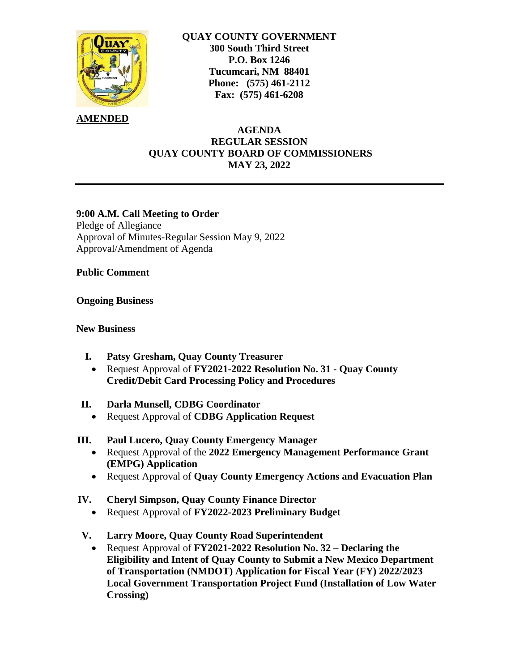

## **QUAY COUNTY GOVERNMENT 300 South Third Street P.O. Box 1246 Tucumcari, NM 88401 Phone: (575) 461-2112 Fax: (575) 461-6208**

## **AMENDED**

## **AGENDA REGULAR SESSION QUAY COUNTY BOARD OF COMMISSIONERS MAY 23, 2022**

## **9:00 A.M. Call Meeting to Order**

Pledge of Allegiance Approval of Minutes-Regular Session May 9, 2022 Approval/Amendment of Agenda

**Public Comment**

**Ongoing Business**

#### **New Business**

- **I. Patsy Gresham, Quay County Treasurer**
	- Request Approval of **FY2021-2022 Resolution No. 31 - Quay County Credit/Debit Card Processing Policy and Procedures**
- **II. Darla Munsell, CDBG Coordinator**
	- Request Approval of **CDBG Application Request**

## **III. Paul Lucero, Quay County Emergency Manager**

- Request Approval of the **2022 Emergency Management Performance Grant (EMPG) Application**
- Request Approval of **Quay County Emergency Actions and Evacuation Plan**

## **IV. Cheryl Simpson, Quay County Finance Director**

- Request Approval of **FY2022-2023 Preliminary Budget**
- **V. Larry Moore, Quay County Road Superintendent**
	- Request Approval of **FY2021-2022 Resolution No. 32 – Declaring the Eligibility and Intent of Quay County to Submit a New Mexico Department of Transportation (NMDOT) Application for Fiscal Year (FY) 2022/2023 Local Government Transportation Project Fund (Installation of Low Water Crossing)**